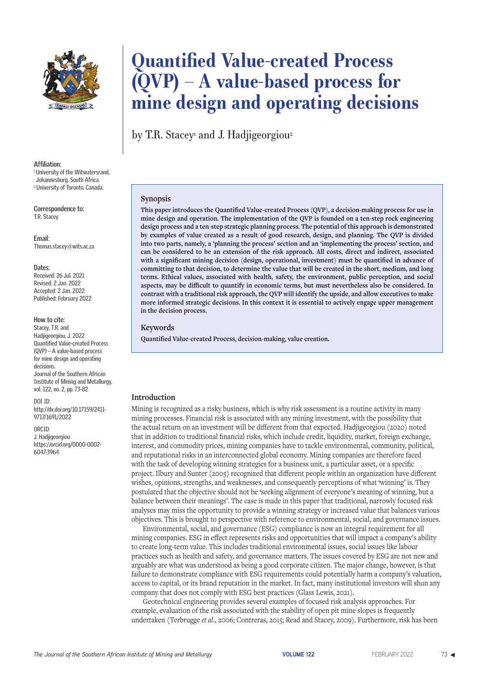

#### **Affiliation:**

<sup>1</sup> University of the Witwatersrand, Johannesburg, South Africa. 2 University of Toronto, Canada.

**Correspondence to:** T.R. Stacey

**Email:** Thomas.stacey@wits.ac.za

#### **Dates:**

Received: 26 Jul. 2021 Revised: 2 Jan. 2022 Accepted: 2 Jan. 2022 Published: February 2022

#### **How to cite:**

Stacey, T.R. and Hadjigeorgiou, J. 2022 Quantified Value-created Process (QVP) – A value-based process for mine design and operating decisions. Journal of the Southern African Institute of Mining and Metallurgy, vol. 122, no. 2, pp. 73-82

DOI ID: http://dx.doi.org/10.17159/2411- 9717/1691/2022

ORCID: J. Hadjigeorgiou https://orcid.org/0000-0002- 6047-3964

# **Quantified Value-created Process (QVP) – A value-based process for mine design and operating decisions**

by T.R. Stacey<sup>,</sup> and J. Hadjigeorgiou<sup>2</sup>

#### **Synopsis**

**This paper introduces the Quantified Value-created Process (QVP), a decision-making process for use in mine design and operation. The implementation of the QVP is founded on a ten-step rock engineering design process and a ten-step strategic planning process. The potential of this approach is demonstrated by examples of value created as a result of good research, design, and planning. The QVP is divided into two parts, namely, a 'planning the process' section and an 'implementing the process' section, and can be considered to be an extension of the risk approach. All costs, direct and indirect, associated with a significant mining decision (design, operational, investment) must be quantified in advance of committing to that decision, to determine the value that will be created in the short, medium, and long terms. Ethical values, associated with health, safety, the environment, public perception, and social aspects, may be difficult to quantify in economic terms, but must nevertheless also be considered. In contrast with a traditional risk approach, the QVP will identify the upside, and allow executives to make more informed strategic decisions. In this context it is essential to actively engage upper management in the decision process.**

#### **Keywords**

**Quantified Value-created Process, decision-making, value creation.**

#### **Introduction**

Mining is recognized as a risky business, which is why risk assessment is a routine activity in many mining processes. Financial risk is associated with any mining investment, with the possibility that the actual return on an investment will be different from that expected. Hadjigeorgiou (2020) noted that in addition to traditional financial risks, which include credit, liquidity, market, foreign exchange, interest, and commodity prices, mining companies have to tackle environmental, community, political, and reputational risks in an interconnected global economy. Mining companies are therefore faced with the task of developing winning strategies for a business unit, a particular asset, or a specific project. Ilbury and Sunter (2005) recognized that different people within an organization have different wishes, opinions, strengths, and weaknesses, and consequently perceptions of what **'**winning' is. They postulated that the objective should not be **'**seeking alignment of everyone's meaning of winning, but a balance between their meanings'. The case is made in this paper that traditional, narrowly focused risk analyses may miss the opportunity to provide a winning strategy or increased value that balances various objectives. This is brought to perspective with reference to environmental, social, and governance issues.

Environmental, social, and governance (ESG) compliance is now an integral requirement for all mining companies. ESG in effect represents risks and opportunities that will impact a company's ability to create long-term value. This includes traditional environmental issues, social issues like labour practices such as health and safety, and governance matters. The issues covered by ESG are not new and arguably are what was understood as being a good corporate citizen. The major change, however, is that failure to demonstrate compliance with ESG requirements could potentially harm a company's valuation, access to capital, or its brand reputation in the market. In fact, many institutional investors will shun any company that does not comply with ESG best practices (Glass Lewis, 2021).

Geotechnical engineering provides several examples of focused risk analysis approaches. For example, evaluation of the risk associated with the stability of open pit mine slopes is frequently undertaken (Terbrugge *et al*., 2006; Contreras, 2015; Read and Stacey, 2009). Furthermore, risk has been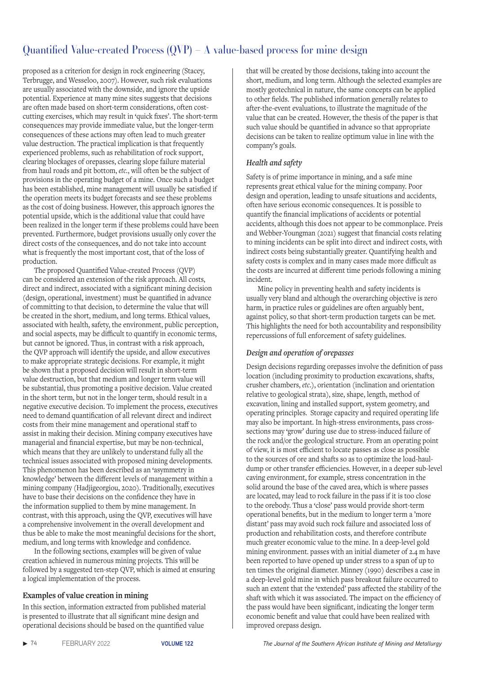proposed as a criterion for design in rock engineering (Stacey, Terbrugge, and Wesseloo, 2007). However, such risk evaluations are usually associated with the downside, and ignore the upside potential. Experience at many mine sites suggests that decisions are often made based on short-term considerations, often costcutting exercises, which may result in **'**quick fixes'. The short-term consequences may provide immediate value, but the longer-term consequences of these actions may often lead to much greater value destruction. The practical implication is that frequently experienced problems, such as rehabilitation of rock support, clearing blockages of orepasses, clearing slope failure material from haul roads and pit bottom, *etc.*, will often be the subject of provisions in the operating budget of a mine. Once such a budget has been established, mine management will usually be satisfied if the operation meets its budget forecasts and see these problems as the cost of doing business. However, this approach ignores the potential upside, which is the additional value that could have been realized in the longer term if these problems could have been prevented. Furthermore, budget provisions usually only cover the direct costs of the consequences, and do not take into account what is frequently the most important cost, that of the loss of production.

The proposed Quantified Value-created Process (QVP) can be considered an extension of the risk approach. All costs, direct and indirect, associated with a significant mining decision (design, operational, investment) must be quantified in advance of committing to that decision, to determine the value that will be created in the short, medium, and long terms. Ethical values, associated with health, safety, the environment, public perception, and social aspects, may be difficult to quantify in economic terms, but cannot be ignored. Thus, in contrast with a risk approach, the QVP approach will identify the upside, and allow executives to make appropriate strategic decisions. For example, it might be shown that a proposed decision will result in short-term value destruction, but that medium and longer term value will be substantial, thus promoting a positive decision. Value created in the short term, but not in the longer term, should result in a negative executive decision. To implement the process, executives need to demand quantification of all relevant direct and indirect costs from their mine management and operational staff to assist in making their decision. Mining company executives have managerial and financial expertise, but may be non-technical, which means that they are unlikely to understand fully all the technical issues associated with proposed mining developments. This phenomenon has been described as an **'**asymmetry in knowledge' between the different levels of management within a mining company (Hadjigeorgiou, 2020). Traditionally, executives have to base their decisions on the confidence they have in the information supplied to them by mine management. In contrast, with this approach, using the QVP, executives will have a comprehensive involvement in the overall development and thus be able to make the most meaningful decisions for the short, medium, and long terms with knowledge and confidence.

In the following sections, examples will be given of value creation achieved in numerous mining projects. This will be followed by a suggested ten-step QVP, which is aimed at ensuring a logical implementation of the process.

### **Examples of value creation in mining**

In this section, information extracted from published material is presented to illustrate that all significant mine design and operational decisions should be based on the quantified value

that will be created by those decisions, taking into account the short, medium, and long term. Although the selected examples are mostly geotechnical in nature, the same concepts can be applied to other fields. The published information generally relates to after-the-event evaluations, to illustrate the magnitude of the value that can be created. However, the thesis of the paper is that such value should be quantified in advance so that appropriate decisions can be taken to realize optimum value in line with the company's goals.

### *Health and safety*

Safety is of prime importance in mining, and a safe mine represents great ethical value for the mining company. Poor design and operation, leading to unsafe situations and accidents, often have serious economic consequences. It is possible to quantify the financial implications of accidents or potential accidents, although this does not appear to be commonplace. Preis and Webber-Youngman (2021) suggest that financial costs relating to mining incidents can be split into direct and indirect costs, with indirect costs being substantially greater. Quantifying health and safety costs is complex and in many cases made more difficult as the costs are incurred at different time periods following a mining incident.

Mine policy in preventing health and safety incidents is usually very bland and although the overarching objective is zero harm, in practice rules or guidelines are often arguably bent, against policy, so that short-term production targets can be met. This highlights the need for both accountability and responsibility repercussions of full enforcement of safety guidelines.

### *Design and operation of orepasses*

Design decisions regarding orepasses involve the definition of pass location (including proximity to production excavations, shafts, crusher chambers, *etc*.), orientation (inclination and orientation relative to geological strata), size, shape, length, method of excavation, lining and installed support, system geometry, and operating principles. Storage capacity and required operating life may also be important. In high-stress environments, pass crosssections may **'**grow' during use due to stress-induced failure of the rock and/or the geological structure. From an operating point of view, it is most efficient to locate passes as close as possible to the sources of ore and shafts so as to optimize the load-hauldump or other transfer efficiencies. However, in a deeper sub-level caving environment, for example, stress concentration in the solid around the base of the caved area, which is where passes are located, may lead to rock failure in the pass if it is too close to the orebody. Thus a **'**close' pass would provide short-term operational benefits, but in the medium to longer term a 'more distant' pass may avoid such rock failure and associated loss of production and rehabilitation costs, and therefore contribute much greater economic value to the mine. In a deep-level gold mining environment. passes with an initial diameter of 2.4 m have been reported to have opened up under stress to a span of up to ten times the original diameter. Minney (1990) describes a case in a deep-level gold mine in which pass breakout failure occurred to such an extent that the **'**extended' pass affected the stability of the shaft with which it was associated. The impact on the efficiency of the pass would have been significant, indicating the longer term economic benefit and value that could have been realized with improved orepass design.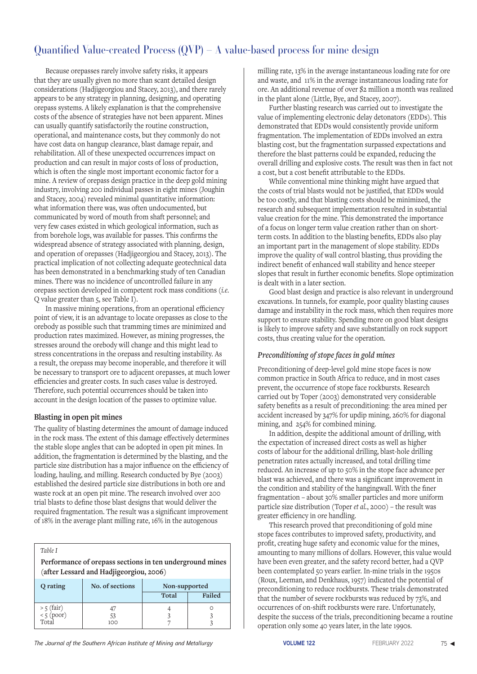Because orepasses rarely involve safety risks, it appears that they are usually given no more than scant detailed design considerations (Hadjigeorgiou and Stacey, 2013), and there rarely appears to be any strategy in planning, designing, and operating orepass systems. A likely explanation is that the comprehensive costs of the absence of strategies have not been apparent. Mines can usually quantify satisfactorily the routine construction, operational, and maintenance costs, but they commonly do not have cost data on hangup clearance, blast damage repair, and rehabilitation. All of these unexpected occurrences impact on production and can result in major costs of loss of production, which is often the single most important economic factor for a mine. A review of orepass design practice in the deep gold mining industry, involving 200 individual passes in eight mines (Joughin and Stacey, 2004) revealed minimal quantitative information: what information there was, was often undocumented, but communicated by word of mouth from shaft personnel; and very few cases existed in which geological information, such as from borehole logs, was available for passes. This confirms the widespread absence of strategy associated with planning, design, and operation of orepasses (Hadjigeorgiou and Stacey, 2013). The practical implication of not collecting adequate geotechnical data has been demonstrated in a benchmarking study of ten Canadian mines. There was no incidence of uncontrolled failure in any orepass section developed in competent rock mass conditions (*i.e*. Q value greater than 5, see Table I).

In massive mining operations, from an operational efficiency point of view, it is an advantage to locate orepasses as close to the orebody as possible such that tramming times are minimized and production rates maximized. However, as mining progresses, the stresses around the orebody will change and this might lead to stress concentrations in the orepass and resulting instability. As a result, the orepass may become inoperable, and therefore it will be necessary to transport ore to adjacent orepasses, at much lower efficiencies and greater costs. In such cases value is destroyed. Therefore, such potential occurrences should be taken into account in the design location of the passes to optimize value.

### **Blasting in open pit mines**

The quality of blasting determines the amount of damage induced in the rock mass. The extent of this damage effectively determines the stable slope angles that can be adopted in open pit mines. In addition, the fragmentation is determined by the blasting, and the particle size distribution has a major influence on the efficiency of loading, hauling, and milling. Research conducted by Bye (2003) established the desired particle size distributions in both ore and waste rock at an open pit mine. The research involved over 200 trial blasts to define those blast designs that would deliver the required fragmentation. The result was a significant improvement of 18% in the average plant milling rate, 16% in the autogenous

 *Table I*

 **Performance of orepass sections in ten underground mines (after Lessard and Hadjigeorgiou, 2006)**

| Q rating                          | No. of sections | Non-supported |        |
|-----------------------------------|-----------------|---------------|--------|
|                                   |                 | Total         | Failed |
| > 5 (fair)<br>< 5 (poor)<br>Total |                 |               |        |
|                                   | 100             |               |        |

milling rate, 13% in the average instantaneous loading rate for ore and waste, and 11% in the average instantaneous loading rate for ore. An additional revenue of over \$2 million a month was realized in the plant alone (Little, Bye, and Stacey, 2007).

Further blasting research was carried out to investigate the value of implementing electronic delay detonators (EDDs). This demonstrated that EDDs would consistently provide uniform fragmentation. The implementation of EDDs involved an extra blasting cost, but the fragmentation surpassed expectations and therefore the blast patterns could be expanded, reducing the overall drilling and explosive costs. The result was then in fact not a cost, but a cost benefit attributable to the EDDs.

While conventional mine thinking might have argued that the costs of trial blasts would not be justified, that EDDs would be too costly, and that blasting costs should be minimized, the research and subsequent implementation resulted in substantial value creation for the mine. This demonstrated the importance of a focus on longer term value creation rather than on shortterm costs. In addition to the blasting benefits, EDDs also play an important part in the management of slope stability. EDDs improve the quality of wall control blasting, thus providing the indirect benefit of enhanced wall stability and hence steeper slopes that result in further economic benefits. Slope optimization is dealt with in a later section.

Good blast design and practice is also relevant in underground excavations. In tunnels, for example, poor quality blasting causes damage and instability in the rock mass, which then requires more support to ensure stability. Spending more on good blast designs is likely to improve safety and save substantially on rock support costs, thus creating value for the operation.

### *Preconditioning of stope faces in gold mines*

Preconditioning of deep-level gold mine stope faces is now common practice in South Africa to reduce, and in most cases prevent, the occurrence of stope face rockbursts. Research carried out by Toper (2003) demonstrated very considerable safety benefits as a result of preconditioning: the area mined per accident increased by 347% for updip mining, 260% for diagonal mining, and 254% for combined mining.

In addition, despite the additional amount of drilling, with the expectation of increased direct costs as well as higher costs of labour for the additional drilling, blast-hole drilling penetration rates actually increased, and total drilling time reduced. An increase of up to 50% in the stope face advance per blast was achieved, and there was a significant improvement in the condition and stability of the hangingwall. With the finer fragmentation – about 30% smaller particles and more uniform particle size distribution (Toper *et al.*, 2000) – the result was greater efficiency in ore handling.

This research proved that preconditioning of gold mine stope faces contributes to improved safety, productivity, and profit, creating huge safety and economic value for the mines, amounting to many millions of dollars. However, this value would have been even greater, and the safety record better, had a QVP been contemplated 50 years earlier. In-mine trials in the 1950s (Roux, Leeman, and Denkhaus, 1957) indicated the potential of preconditioning to reduce rockbursts. These trials demonstrated that the number of severe rockbursts was reduced by 73%, and occurrences of on-shift rockbursts were rare. Unfortunately, despite the success of the trials, preconditioning became a routine operation only some 40 years later, in the late 1990s.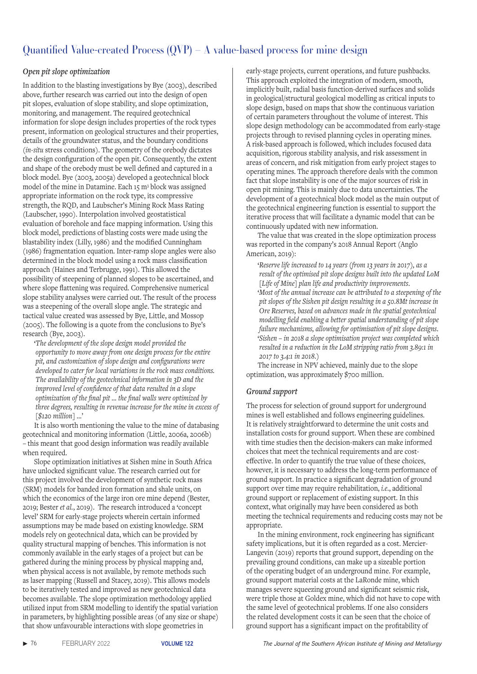## *Open pit slope optimization*

In addition to the blasting investigations by Bye (2003), described above, further research was carried out into the design of open pit slopes, evaluation of slope stability, and slope optimization, monitoring, and management. The required geotechnical information for slope design includes properties of the rock types present, information on geological structures and their properties, details of the groundwater status, and the boundary conditions (*in-situ* stress conditions). The geometry of the orebody dictates the design configuration of the open pit. Consequently, the extent and shape of the orebody must be well defined and captured in a block model. Bye (2003, 2005a) developed a geotechnical block model of the mine in Datamine. Each 15 m3 block was assigned appropriate information on the rock type, its compressive strength, the RQD, and Laubscher's Mining Rock Mass Rating (Laubscher, 1990). Interpolation involved geostatistical evaluation of borehole and face mapping information. Using this block model, predictions of blasting costs were made using the blastability index (Lilly, 1986) and the modified Cunningham (1986) fragmentation equation. Inter-ramp slope angles were also determined in the block model using a rock mass classification approach (Haines and Terbrugge, 1991). This allowed the possibility of steepening of planned slopes to be ascertained, and where slope flattening was required. Comprehensive numerical slope stability analyses were carried out. The result of the process was a steepening of the overall slope angle. The strategic and tactical value created was assessed by Bye, Little, and Mossop (2005). The following is a quote from the conclusions to Bye's research (Bye, 2003).

**'***The development of the slope design model provided the opportunity to move away from one design process for the entire pit, and customization of slope design and configurations were developed to cater for local variations in the rock mass conditions. The availability of the geotechnical information in 3D and the improved level of confidence of that data resulted in a slope optimization of the final pit … the final walls were optimized by three degrees, resulting in revenue increase for the mine in excess of [\$120 million]* …'

It is also worth mentioning the value to the mine of databasing geotechnical and monitoring information (Little, 2006a, 2006b) – this meant that good design information was readily available when required.

Slope optimization initiatives at Sishen mine in South Africa have unlocked significant value. The research carried out for this project involved the development of synthetic rock mass (SRM) models for banded iron formation and shale units, on which the economics of the large iron ore mine depend (Bester, 2019; Bester *et al.*, 2019). The research introduced a **'**concept level' SRM for early-stage projects wherein certain informed assumptions may be made based on existing knowledge. SRM models rely on geotechnical data, which can be provided by quality structural mapping of benches. This information is not commonly available in the early stages of a project but can be gathered during the mining process by physical mapping and, when physical access is not available, by remote methods such as laser mapping (Russell and Stacey, 2019). This allows models to be iteratively tested and improved as new geotechnical data becomes available. The slope optimization methodology applied utilized input from SRM modelling to identify the spatial variation in parameters, by highlighting possible areas (of any size or shape) that show unfavourable interactions with slope geometries in

early-stage projects, current operations, and future pushbacks. This approach exploited the integration of modern, smooth, implicitly built, radial basis function-derived surfaces and solids in geological/structural geological modelling as critical inputs to slope design, based on maps that show the continuous variation of certain parameters throughout the volume of interest. This slope design methodology can be accommodated from early-stage projects through to revised planning cycles in operating mines. A risk-based approach is followed, which includes focused data acquisition, rigorous stability analysis, and risk assessment in areas of concern, and risk mitigation from early project stages to operating mines. The approach therefore deals with the common fact that slope instability is one of the major sources of risk in open pit mining. This is mainly due to data uncertainties. The development of a geotechnical block model as the main output of the geotechnical engineering function is essential to support the iterative process that will facilitate a dynamic model that can be continuously updated with new information.

The value that was created in the slope optimization process was reported in the company's 2018 Annual Report (Anglo American, 2019):

**'***Reserve life increased to 14 years (from 13 years in 2017), as a result of the optimised pit slope designs built into the updated LoM [Life of Mine] plan life and productivity improvements*. **'***Most of the annual increase can be attributed to a steepening of the pit slopes of the Sishen pit design resulting in a 50.8Mt increase in Ore Reserves, based on advances made in the spatial geotechnical modelling field enabling a better spatial understanding of pit slope failure mechanisms, allowing for optimisation of pit slope designs*. **'***Sishen – in 2018 a slope optimisation project was completed which resulted in a reduction in the LoM stripping ratio from 3.89:1 in 2017 to 3.4:1 in 2018*.)

The increase in NPV achieved, mainly due to the slope optimization, was approximately \$700 million.

### *Ground support*

The process for selection of ground support for underground mines is well established and follows engineering guidelines. It is relatively straightforward to determine the unit costs and installation costs for ground support. When these are combined with time studies then the decision-makers can make informed choices that meet the technical requirements and are costeffective. In order to quantify the true value of these choices, however, it is necessary to address the long-term performance of ground support. In practice a significant degradation of ground support over time may require rehabilitation, *i.e*., additional ground support or replacement of existing support. In this context, what originally may have been considered as both meeting the technical requirements and reducing costs may not be appropriate.

In the mining environment, rock engineering has significant safety implications, but it is often regarded as a cost. Mercier-Langevin (2019) reports that ground support, depending on the prevailing ground conditions, can make up a sizeable portion of the operating budget of an underground mine. For example, ground support material costs at the LaRonde mine, which manages severe squeezing ground and significant seismic risk, were triple those at Goldex mine, which did not have to cope with the same level of geotechnical problems. If one also considers the related development costs it can be seen that the choice of ground support has a significant impact on the profitability of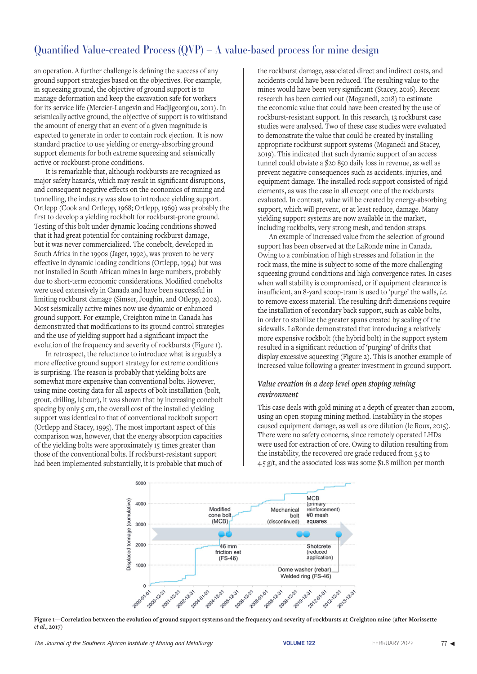an operation. A further challenge is defining the success of any ground support strategies based on the objectives. For example, in squeezing ground, the objective of ground support is to manage deformation and keep the excavation safe for workers for its service life (Mercier-Langevin and Hadjigeorgiou, 2011). In seismically active ground, the objective of support is to withstand the amount of energy that an event of a given magnitude is expected to generate in order to contain rock ejection. It is now standard practice to use yielding or energy-absorbing ground support elements for both extreme squeezing and seismically active or rockburst-prone conditions.

It is remarkable that, although rockbursts are recognized as major safety hazards, which may result in significant disruptions, and consequent negative effects on the economics of mining and tunnelling, the industry was slow to introduce yielding support. Ortlepp (Cook and Ortlepp, 1968; Ortlepp, 1969) was probably the first to develop a yielding rockbolt for rockburst-prone ground. Testing of this bolt under dynamic loading conditions showed that it had great potential for containing rockburst damage, but it was never commercialized. The conebolt, developed in South Africa in the 1990s (Jager, 1992), was proven to be very effective in dynamic loading conditions (Ortlepp, 1994) but was not installed in South African mines in large numbers, probably due to short-term economic considerations. Modified conebolts were used extensively in Canada and have been successful in limiting rockburst damage (Simser, Joughin, and Otlepp, 2002). Most seismically active mines now use dynamic or enhanced ground support. For example, Creighton mine in Canada has demonstrated that modifications to its ground control strategies and the use of yielding support had a significant impact the evolution of the frequency and severity of rockbursts (Figure 1).

In retrospect, the reluctance to introduce what is arguably a more effective ground support strategy for extreme conditions is surprising. The reason is probably that yielding bolts are somewhat more expensive than conventional bolts. However, using mine costing data for all aspects of bolt installation (bolt, grout, drilling, labour), it was shown that by increasing conebolt spacing by only 5 cm, the overall cost of the installed yielding support was identical to that of conventional rockbolt support (Ortlepp and Stacey, 1995). The most important aspect of this comparison was, however, that the energy absorption capacities of the yielding bolts were approximately 15 times greater than those of the conventional bolts. If rockburst-resistant support had been implemented substantially, it is probable that much of

the rockburst damage, associated direct and indirect costs, and accidents could have been reduced. The resulting value to the mines would have been very significant (Stacey, 2016). Recent research has been carried out (Moganedi, 2018) to estimate the economic value that could have been created by the use of rockburst-resistant support. In this research, 13 rockburst case studies were analysed. Two of these case studies were evaluated to demonstrate the value that could be created by installing appropriate rockburst support systems (Moganedi and Stacey, 2019). This indicated that such dynamic support of an access tunnel could obviate a \$20 850 daily loss in revenue, as well as prevent negative consequences such as accidents, injuries, and equipment damage. The installed rock support consisted of rigid elements, as was the case in all except one of the rockbursts evaluated. In contrast, value will be created by energy-absorbing support, which will prevent, or at least reduce, damage. Many yielding support systems are now available in the market, including rockbolts, very strong mesh, and tendon straps.

An example of increased value from the selection of ground support has been observed at the LaRonde mine in Canada. Owing to a combination of high stresses and foliation in the rock mass, the mine is subject to some of the more challenging squeezing ground conditions and high convergence rates. In cases when wall stability is compromised, or if equipment clearance is insufficient, an 8-yard scoop-tram is used to 'purge' the walls, *i.e*. to remove excess material. The resulting drift dimensions require the installation of secondary back support, such as cable bolts, in order to stabilize the greater spans created by scaling of the sidewalls. LaRonde demonstrated that introducing a relatively more expensive rockbolt (the hybrid bolt) in the support system resulted in a significant reduction of 'purging' of drifts that display excessive squeezing (Figure 2). This is another example of increased value following a greater investment in ground support.

### *Value creation in a deep level open stoping mining environment*

This case deals with gold mining at a depth of greater than 2000m, using an open stoping mining method. Instability in the stopes caused equipment damage, as well as ore dilution (le Roux, 2015). There were no safety concerns, since remotely operated LHDs were used for extraction of ore. Owing to dilution resulting from the instability, the recovered ore grade reduced from 5.5 to 4.5 g/t, and the associated loss was some \$1.8 million per month



**Figure 1—Correlation between the evolution of ground support systems and the frequency and severity of rockbursts at Creighton mine (after Morissette**  *et al***., 2017)**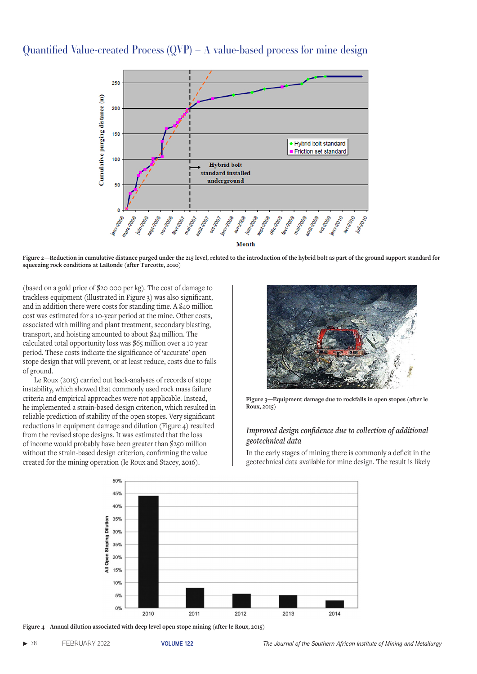

**Figure 2—Reduction in cumulative distance purged under the 215 level, related to the introduction of the hybrid bolt as part of the ground support standard for squeezing rock conditions at LaRonde (after Turcotte, 2010)**

(based on a gold price of \$20 000 per kg). The cost of damage to trackless equipment (illustrated in Figure 3) was also significant, and in addition there were costs for standing time. A \$40 million cost was estimated for a 10-year period at the mine. Other costs, associated with milling and plant treatment, secondary blasting, transport, and hoisting amounted to about \$24 million. The calculated total opportunity loss was \$65 million over a 10 year period. These costs indicate the significance of **'**accurate' open stope design that will prevent, or at least reduce, costs due to falls of ground.

Le Roux (2015) carried out back-analyses of records of stope instability, which showed that commonly used rock mass failure criteria and empirical approaches were not applicable. Instead, he implemented a strain-based design criterion, which resulted in reliable prediction of stability of the open stopes. Very significant reductions in equipment damage and dilution (Figure 4) resulted from the revised stope designs. It was estimated that the loss of income would probably have been greater than \$250 million without the strain-based design criterion, confirming the value created for the mining operation (le Roux and Stacey, 2016).



**Figure 3—Equipment damage due to rockfalls in open stopes (after le Roux, 2015)**

### *Improved design confidence due to collection of additional geotechnical data*

In the early stages of mining there is commonly a deficit in the geotechnical data available for mine design. The result is likely



**Figure 4—Annual dilution associated with deep level open stope mining (after le Roux, 2015)**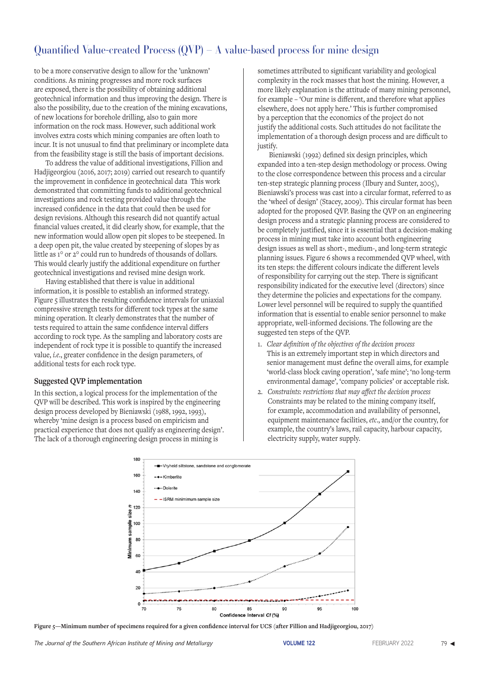to be a more conservative design to allow for the 'unknown' conditions. As mining progresses and more rock surfaces are exposed, there is the possibility of obtaining additional geotechnical information and thus improving the design. There is also the possibility, due to the creation of the mining excavations, of new locations for borehole drilling, also to gain more information on the rock mass. However, such additional work involves extra costs which mining companies are often loath to incur. It is not unusual to find that preliminary or incomplete data from the feasibility stage is still the basis of important decisions.

To address the value of additional investigations, Fillion and Hadjigeorgiou (2016, 2017; 2019) carried out research to quantify the improvement in confidence in geotechnical data This work demonstrated that committing funds to additional geotechnical investigations and rock testing provided value through the increased confidence in the data that could then be used for design revisions. Although this research did not quantify actual financial values created, it did clearly show, for example, that the new information would allow open pit slopes to be steepened. In a deep open pit, the value created by steepening of slopes by as little as 1° or 2° could run to hundreds of thousands of dollars. This would clearly justify the additional expenditure on further geotechnical investigations and revised mine design work.

Having established that there is value in additional information, it is possible to establish an informed strategy. Figure 5 illustrates the resulting confidence intervals for uniaxial compressive strength tests for different tock types at the same mining operation. It clearly demonstrates that the number of tests required to attain the same confidence interval differs according to rock type. As the sampling and laboratory costs are independent of rock type it is possible to quantify the increased value, *i.e*., greater confidence in the design parameters, of additional tests for each rock type.

#### **Suggested QVP implementation**

In this section, a logical process for the implementation of the QVP will be described. This work is inspired by the engineering design process developed by Bieniawski (1988, 1992, 1993), whereby 'mine design is a process based on empiricism and practical experience that does not qualify as engineering design'. The lack of a thorough engineering design process in mining is

sometimes attributed to significant variability and geological complexity in the rock masses that host the mining. However, a more likely explanation is the attitude of many mining personnel, for example – 'Our mine is different, and therefore what applies elsewhere, does not apply here.' This is further compromised by a perception that the economics of the project do not justify the additional costs. Such attitudes do not facilitate the implementation of a thorough design process and are difficult to justify.

Bieniawski (1992) defined six design principles, which expanded into a ten-step design methodology or process. Owing to the close correspondence between this process and a circular ten-step strategic planning process (Ilbury and Sunter, 2005), Bieniawski's process was cast into a circular format, referred to as the 'wheel of design' (Stacey, 2009). This circular format has been adopted for the proposed QVP. Basing the QVP on an engineering design process and a strategic planning process are considered to be completely justified, since it is essential that a decision-making process in mining must take into account both engineering design issues as well as short-, medium-, and long-term strategic planning issues. Figure 6 shows a recommended QVP wheel, with its ten steps: the different colours indicate the different levels of responsibility for carrying out the step. There is significant responsibility indicated for the executive level (directors) since they determine the policies and expectations for the company. Lower level personnel will be required to supply the quantified information that is essential to enable senior personnel to make appropriate, well-informed decisions. The following are the suggested ten steps of the QVP.

- 1. *Clear definition of the objectives of the decision process* This is an extremely important step in which directors and senior management must define the overall aims, for example 'world-class block caving operation', 'safe mine'; 'no long-term environmental damage', 'company policies' or acceptable risk.
- 2. *Constraints: restrictions that may affect the decision process* Constraints may be related to the mining company itself, for example, accommodation and availability of personnel, equipment maintenance facilities, *etc*., and/or the country, for example, the country's laws, rail capacity, harbour capacity, electricity supply, water supply.



**Figure 5—Minimum number of specimens required for a given confidence interval for UCS (after Fillion and Hadjigeorgiou, 2017)**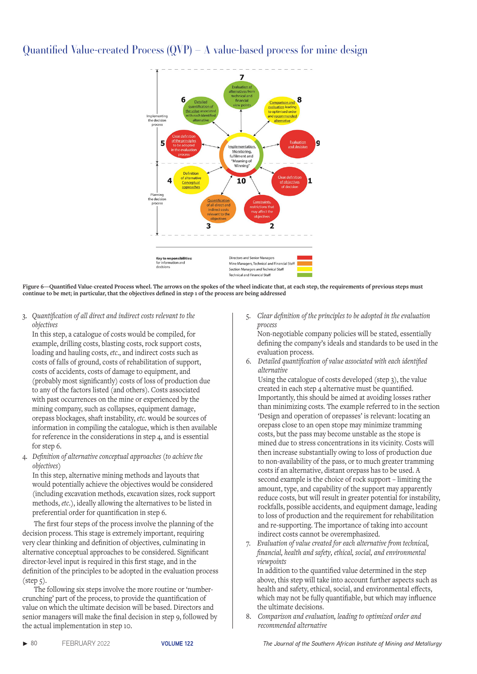

**Figure 6—Quantified Value-created Process wheel. The arrows on the spokes of the wheel indicate that, at each step, the requirements of previous steps must continue to be met; in particular, that the objectives defined in step 1 of the process are being addressed**

3. *Quantification of all direct and indirect costs relevant to the objectives*

In this step, a catalogue of costs would be compiled, for example, drilling costs, blasting costs, rock support costs, loading and hauling costs, *etc*., and indirect costs such as costs of falls of ground, costs of rehabilitation of support, costs of accidents, costs of damage to equipment, and (probably most significantly) costs of loss of production due to any of the factors listed (and others). Costs associated with past occurrences on the mine or experienced by the mining company, such as collapses, equipment damage, orepass blockages, shaft instability, *etc.* would be sources of information in compiling the catalogue, which is then available for reference in the considerations in step 4, and is essential for step 6.

4. *Definition of alternative conceptual approaches (to achieve the objectives)*

In this step, alternative mining methods and layouts that would potentially achieve the objectives would be considered (including excavation methods, excavation sizes, rock support methods, *etc*.), ideally allowing the alternatives to be listed in preferential order for quantification in step 6.

The first four steps of the process involve the planning of the decision process. This stage is extremely important, requiring very clear thinking and definition of objectives, culminating in alternative conceptual approaches to be considered. Significant director-level input is required in this first stage, and in the definition of the principles to be adopted in the evaluation process (step 5).

The following six steps involve the more routine or 'numbercrunching' part of the process, to provide the quantification of value on which the ultimate decision will be based. Directors and senior managers will make the final decision in step 9, followed by the actual implementation in step 10.

5. *Clear definition of the principles to be adopted in the evaluation process*

Non-negotiable company policies will be stated, essentially defining the company's ideals and standards to be used in the evaluation process.

6. *Detailed quantification of value associated with each identified alternative*

Using the catalogue of costs developed (step 3), the value created in each step 4 alternative must be quantified. Importantly, this should be aimed at avoiding losses rather than minimizing costs. The example referred to in the section 'Design and operation of orepasses' is relevant: locating an orepass close to an open stope may minimize tramming costs, but the pass may become unstable as the stope is mined due to stress concentrations in its vicinity. Costs will then increase substantially owing to loss of production due to non-availability of the pass, or to much greater tramming costs if an alternative, distant orepass has to be used. A second example is the choice of rock support – limiting the amount, type, and capability of the support may apparently reduce costs, but will result in greater potential for instability, rockfalls, possible accidents, and equipment damage, leading to loss of production and the requirement for rehabilitation and re-supporting. The importance of taking into account indirect costs cannot be overemphasized.

7. *Evaluation of value created for each alternative from technical, financial, health and safety, ethical, social, and environmental viewpoints*

In addition to the quantified value determined in the step above, this step will take into account further aspects such as health and safety, ethical, social, and environmental effects, which may not be fully quantifiable, but which may influence the ultimate decisions.

8. *Comparison and evaluation, leading to optimized order and recommended alternative*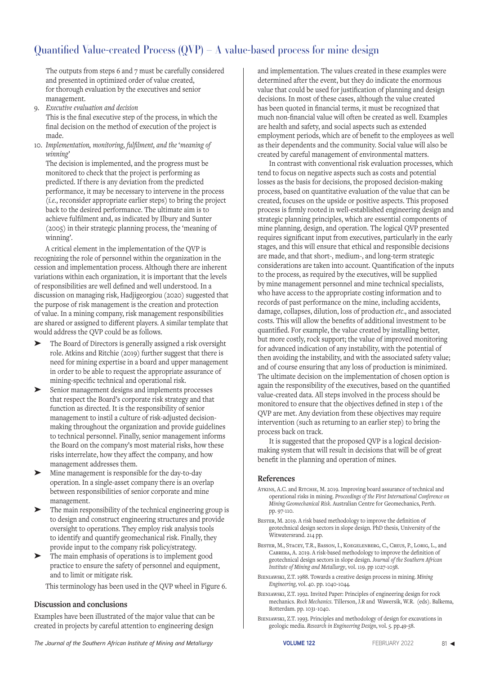The outputs from steps 6 and 7 must be carefully considered and presented in optimized order of value created, for thorough evaluation by the executives and senior management.

9. *Executive evaluation and decision*

This is the final executive step of the process, in which the final decision on the method of execution of the project is made.

10. *Implementation, monitoring, fulfilment, and the* '*meaning of winning'*

The decision is implemented, and the progress must be monitored to check that the project is performing as predicted. If there is any deviation from the predicted performance, it may be necessary to intervene in the process (*i.e.*, reconsider appropriate earlier steps) to bring the project back to the desired performance. The ultimate aim is to achieve fulfilment and, as indicated by Ilbury and Sunter (2005) in their strategic planning process, the 'meaning of winning'.

A critical element in the implementation of the QVP is recognizing the role of personnel within the organization in the cession and implementation process. Although there are inherent variations within each organization, it is important that the levels of responsibilities are well defined and well understood. In a discussion on managing risk, Hadjigeorgiou (2020) suggested that the purpose of risk management is the creation and protection of value. In a mining company, risk management responsibilities are shared or assigned to different players. A similar template that would address the QVP could be as follows.

- ➤ The Board of Directors is generally assigned a risk oversight role. Atkins and Ritchie (2019) further suggest that there is need for mining expertise in a board and upper management in order to be able to request the appropriate assurance of mining-specific technical and operational risk.
- Senior management designs and implements processes that respect the Board's corporate risk strategy and that function as directed. It is the responsibility of senior management to instil a culture of risk-adjusted decisionmaking throughout the organization and provide guidelines to technical personnel. Finally, senior management informs the Board on the company's most material risks, how these risks interrelate, how they affect the company, and how management addresses them.
- Mine management is responsible for the day-to-day operation. In a single-asset company there is an overlap between responsibilities of senior corporate and mine management.
- The main responsibility of the technical engineering group is to design and construct engineering structures and provide oversight to operations. They employ risk analysis tools to identify and quantify geomechanical risk. Finally, they provide input to the company risk policy/strategy.
- The main emphasis of operations is to implement good practice to ensure the safety of personnel and equipment, and to limit or mitigate risk.

This terminology has been used in the QVP wheel in Figure 6.

#### **Discussion and conclusions**

Examples have been illustrated of the major value that can be created in projects by careful attention to engineering design

and implementation. The values created in these examples were determined after the event, but they do indicate the enormous value that could be used for justification of planning and design decisions. In most of these cases, although the value created has been quoted in financial terms, it must be recognized that much non-financial value will often be created as well. Examples are health and safety, and social aspects such as extended employment periods, which are of benefit to the employees as well as their dependents and the community. Social value will also be created by careful management of environmental matters.

In contrast with conventional risk evaluation processes, which tend to focus on negative aspects such as costs and potential losses as the basis for decisions, the proposed decision-making process, based on quantitative evaluation of the value that can be created, focuses on the upside or positive aspects. This proposed process is firmly rooted in well-established engineering design and strategic planning principles, which are essential components of mine planning, design, and operation. The logical QVP presented requires significant input from executives, particularly in the early stages, and this will ensure that ethical and responsible decisions are made, and that short-, medium-, and long-term strategic considerations are taken into account. Quantification of the inputs to the process, as required by the executives, will be supplied by mine management personnel and mine technical specialists, who have access to the appropriate costing information and to records of past performance on the mine, including accidents, damage, collapses, dilution, loss of production *etc*., and associated costs. This will allow the benefits of additional investment to be quantified. For example, the value created by installing better, but more costly, rock support; the value of improved monitoring for advanced indication of any instability, with the potential of then avoiding the instability, and with the associated safety value; and of course ensuring that any loss of production is minimized. The ultimate decision on the implementation of chosen option is again the responsibility of the executives, based on the quantified value-created data. All steps involved in the process should be monitored to ensure that the objectives defined in step 1 of the QVP are met. Any deviation from these objectives may require intervention (such as returning to an earlier step) to bring the process back on track.

It is suggested that the proposed QVP is a logical decisionmaking system that will result in decisions that will be of great benefit in the planning and operation of mines.

#### **References**

- ATKINS, A.C. and RITCHIE, M. 2019. Improving board assurance of technical and operational risks in mining. *Proceedings of the First International Conference on Mining Geomechanical Risk*. Australian Centre for Geomechanics, Perth. pp. 97-110.
- BESTER, M. 2019. A risk based methodology to improve the definition of geotechnical design sectors in slope design. PhD thesis, University of the Witwatersrand. 214 pp.
- Bester, M., Stacey, T.R., Basson, I., Koegelenberg, C., Creus, P., Lorig, L., and Cabrera, A. 2019. A risk-based methodology to improve the definition of geotechnical design sectors in slope design. *Journal of the Southern African Institute of Mining and Metallurgy*, vol. 119. pp 1027-1038.
- Bieniawski, Z.T. 1988. Towards a creative design process in mining. *Mining Engineering*, vol. 40. pp. 1040-1044.
- Bieniawski, Z.T. 1992. Invited Paper: Principles of engineering design for rock mechanics. *Rock Mechanics*. Tillerson, J.R and Wawersik, W.R. (eds). Balkema, Rotterdam. pp. 1031-1040.
- Bieniawski, Z.T. 1993. Principles and methodology of design for excavations in geologic media. *Research in Engineering Design*, vol. 5. pp.49-58.